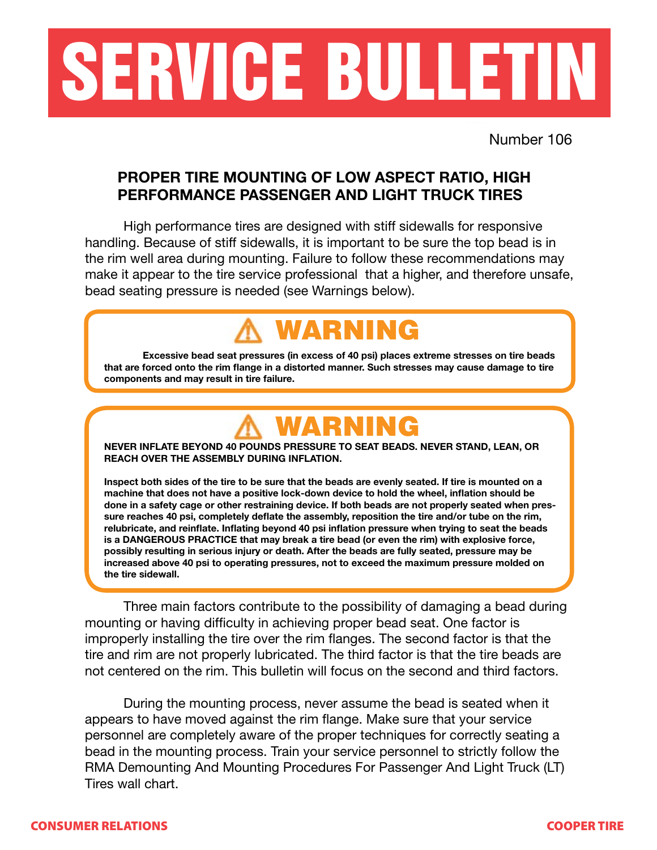

Number 106

#### **PROPER TIRE MOUNTING OF LOW ASPECT RATIO, HIGH PERFORMANCE PASSENGER AND LIGHT TRUCK TIRES**

 High performance tires are designed with stiff sidewalls for responsive handling. Because of stiff sidewalls, it is important to be sure the top bead is in the rim well area during mounting. Failure to follow these recommendations may make it appear to the tire service professional that a higher, and therefore unsafe, bead seating pressure is needed (see Warnings below).

## WARNING

 **Excessive bead seat pressures (in excess of 40 psi) places extreme stresses on tire beads that are forced onto the rim flange in a distorted manner. Such stresses may cause damage to tire components and may result in tire failure.**

### WARNING

**NEVER INFLATE BEYOND 40 POUNDS PRESSURE TO SEAT BEADS. NEVER STAND, LEAN, OR REACH OVER THE ASSEMBLY DURING INFLATION.**

**Inspect both sides of the tire to be sure that the beads are evenly seated. If tire is mounted on a machine that does not have a positive lock-down device to hold the wheel, inflation should be done in a safety cage or other restraining device. If both beads are not properly seated when pressure reaches 40 psi, completely deflate the assembly, reposition the tire and/or tube on the rim, relubricate, and reinflate. Inflating beyond 40 psi inflation pressure when trying to seat the beads is a DANGEROUS PRACTICE that may break a tire bead (or even the rim) with explosive force, possibly resulting in serious injury or death. After the beads are fully seated, pressure may be increased above 40 psi to operating pressures, not to exceed the maximum pressure molded on the tire sidewall.**

 Three main factors contribute to the possibility of damaging a bead during mounting or having difficulty in achieving proper bead seat. One factor is improperly installing the tire over the rim flanges. The second factor is that the tire and rim are not properly lubricated. The third factor is that the tire beads are not centered on the rim. This bulletin will focus on the second and third factors.

**CONSUMER RELATIONS CONSUMER TIME IN STRUCK CONSUMER TIME IN STRUCK CONSUMER TIME IN STRUCK CONSUMER TIME IN STRUCK CONSUMER TIME IN STRUCK CONSUMER TIME IN STRUCK CONSUMER TIME IN STRUCK CONSUMER TIME IN STRUCK CONSUMER CONSUMER TIRES WALL CHARTED FOR TIME TIME THE STATE OF THE STATE OF THE STATE OF THE STATE OF THE STATE OF THE STATE OF THE STATE OF THE STATE OF THE STATE OF THE STATE OF THE STATE OF THE STATE OF THE STATE OF THE STATE**  During the mounting process, never assume the bead is seated when it appears to have moved against the rim flange. Make sure that your service personnel are completely aware of the proper techniques for correctly seating a bead in the mounting process. Train your service personnel to strictly follow the RMA Demounting And Mounting Procedures For Passenger And Light Truck (LT)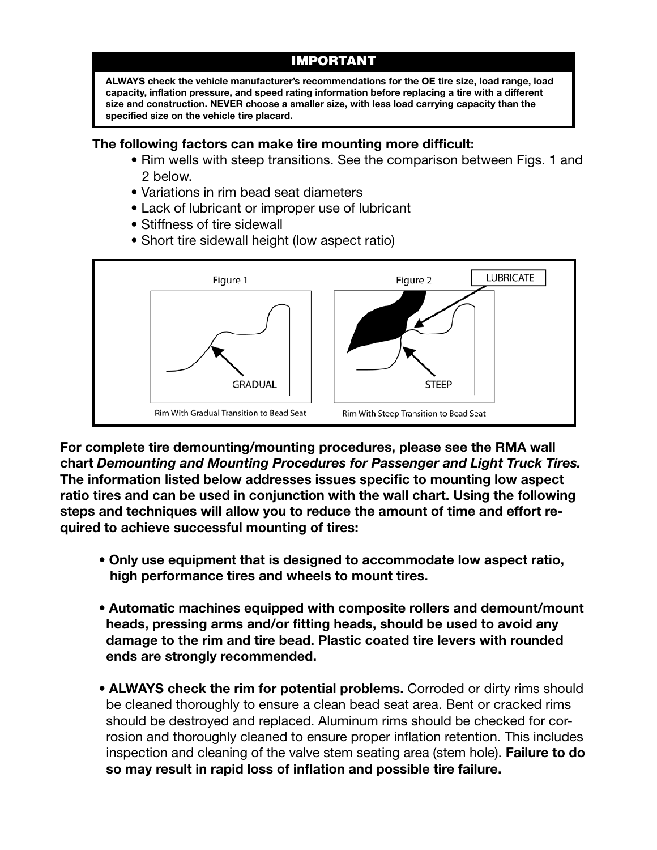#### IMPORTANT

**ALWAYS check the vehicle manufacturer's recommendations for the OE tire size, load range, load capacity, inflation pressure, and speed rating information before replacing a tire with a different size and construction. NEVER choose a smaller size, with less load carrying capacity than the specified size on the vehicle tire placard.**

#### **The following factors can make tire mounting more difficult:**

- Rim wells with steep transitions. See the comparison between Figs. 1 and 2 below.
- Variations in rim bead seat diameters
- Lack of lubricant or improper use of lubricant
- Stiffness of tire sidewall
- Short tire sidewall height (low aspect ratio)



**For complete tire demounting/mounting procedures, please see the RMA wall chart** *Demounting and Mounting Procedures for Passenger and Light Truck Tires.* **The information listed below addresses issues specific to mounting low aspect ratio tires and can be used in conjunction with the wall chart. Using the following steps and techniques will allow you to reduce the amount of time and effort required to achieve successful mounting of tires:**

- Only use equipment that is designed to accommodate low aspect ratio,  **high performance tires and wheels to mount tires.**
- Automatic machines equipped with composite rollers and demount/mount  **heads, pressing arms and/or fitting heads, should be used to avoid any damage to the rim and tire bead. Plastic coated tire levers with rounded ends are strongly recommended.**
- **ALWAYS** check the rim for potential problems. Corroded or dirty rims should be cleaned thoroughly to ensure a clean bead seat area. Bent or cracked rims should be destroyed and replaced. Aluminum rims should be checked for cor rosion and thoroughly cleaned to ensure proper inflation retention. This includes inspection and cleaning of the valve stem seating area (stem hole). **Failure to do so may result in rapid loss of inflation and possible tire failure.**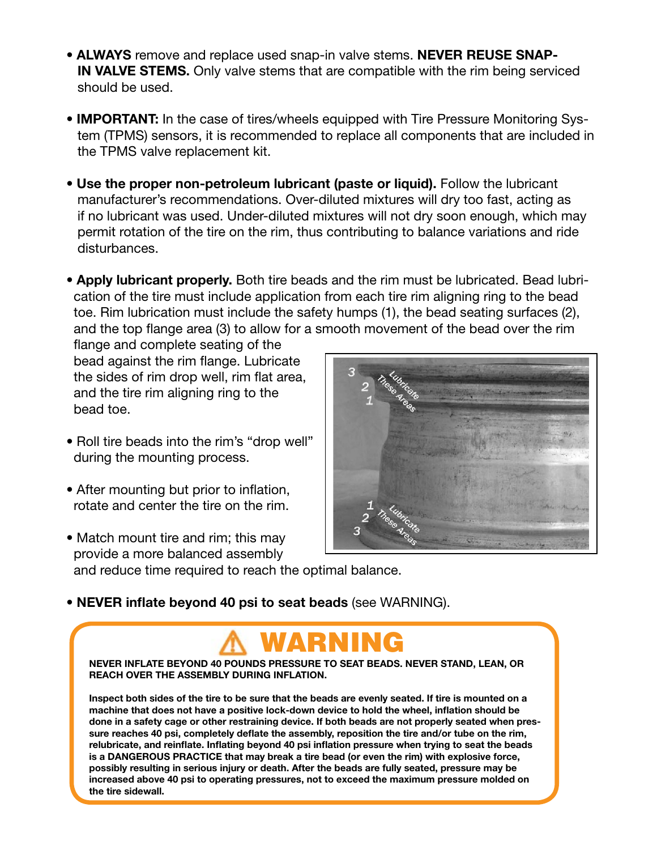- **ALWAYS** remove and replace used snap-in valve stems. NEVER REUSE SNAP-IN VALVE STEMS. Only valve stems that are compatible with the rim being serviced retention. This includes inspection. This includes inspection and cleaning of the value stem seating of the value stem seating of the value stem seating of the value stem seating of the value stem seating of the value stem should be cleaned thoroughly to ensure a clean bead seat area. Bent or **NAYS** remove and replace used snap-in valve stems. **NEVER REUSE**
- **IMPORTANT:** In the case of tires/wheels equipped with Tire Pressure Monitoring System (TPMS) sensors, it is recommended to replace all components that are included in the TPMS valve replacement kit. **ALWAYS REPART AND THE SNAP-REUSE SNAP-IN VALVE STEMS. Only valve stems that are**
- Use the proper non-petroleum lubricant (paste or liquid). Follow the lubricant manufacturer's recommendations. Over-diluted mixtures will dry too fast, acting as Inditionation of the commendations: Over-diluted mixtures will dry too last, acting as<br>if no lubricant was used. Under-diluted mixtures will not dry soon enough, which may permit rotation of the tire on the rim, thus contributing to balance variations and ride disturbances. **Monitoring Was used.** Onder-dilated mixtures will not ary soon enough,
- Apply lubricant properly. Both tire beads and the rim must be lubricated. Bead lubrication of the tire must include application from each tire rim aligning ring to the bead toe. Rim lubrication must include the safety humps (1), the bead seating surfaces (2), and the top flange area (3) to allow for a smooth movement of the bead over the rim

 flange and complete seating of the bead against the rim flange. Lubricate the sides of rim drop well, rim flat area, and the tire rim aligning ring to the bead toe.  $\frac{1}{100}$  include and  $\frac{1}{100}$  from each time- $\alpha$  to the bead to the bead to the bead to the bead to the bead to the bead to the bead to the bead to the bead to the bead to the bead to the bead to the bead to the bead to the bead to the bead to the bead to the bead

- Roll tire beads into the rim's "drop well" during the mounting process. lubrication must include the safety hume beads into the firms arop well
- After mounting but prior to inflation, rotate and center the tire on the rim.
- Match mount tire and rim; this may provide a more balanced assembly and reduce time required to reach the optimal balance. • Roll tire beads into the rim's "drop well" during the mounting process.



**• NEVER inflate beyond 40 psi to seat beads** (see WARNING).  $\mathbf{r}$  and  $\mathbf{r}$  but to be the time on the time on the time on the time on the rim.

#### • Match mount tire and rim; this may WARNING

**NEVER INFLATE BEYOND 40 POUNDS PRESSURE TO SEAT BEADS. NEVER STAND, LEAN, OR REACH INTERTS BETOND 40 POINDS TRECOONE IN** 

machine that does not have a positive lock-down device to noid the wheel, imiation should be<br>done in a safety cage or other restraining device. If both beads are not properly seated when pressure reaches 40 psi, completely deflate the assembly, reposition the tire and/or tube on the rim, **Inspect both sides of the tire to be sure that the beads are evenly seated. If tire is mounted on a machine that does not have a positive lock-down device to hold the wheel, inflation should be relubricate, and reinflate. Inflating beyond 40 psi inflation pressure when trying to seat the beads is a DANGEROUS PRACTICE that may break a tire bead (or even the rim) with explosive force, possibly resulting in serious injury or death. After the beads are fully seated, pressure may be increased above 40 psi to operating pressures, not to exceed the maximum pressure molded on the tire sidewall.**